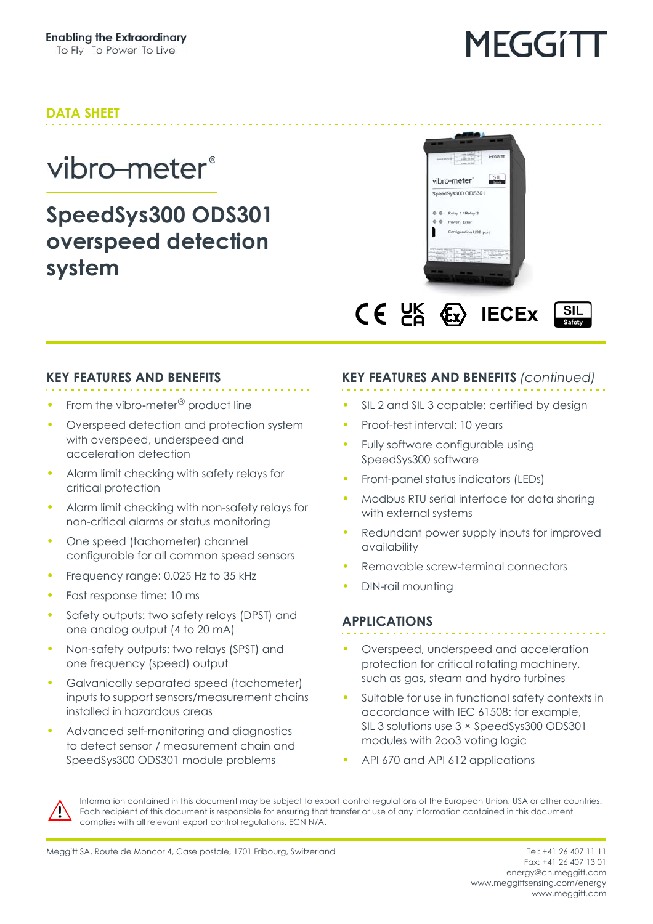### **DATA SHEET**

### vibro-meter<sup>®</sup>

### **SpeedSys300 ODS301 overspeed detection system**





### **KEY FEATURES AND BENEFITS**

- From the vibro-meter<sup>®</sup> product line
- Overspeed detection and protection system with overspeed, underspeed and acceleration detection
- Alarm limit checking with safety relays for critical protection
- Alarm limit checking with non-safety relays for non-critical alarms or status monitoring
- One speed (tachometer) channel configurable for all common speed sensors
- Frequency range: 0.025 Hz to 35 kHz
- Fast response time: 10 ms
- Safety outputs: two safety relays (DPST) and one analog output (4 to 20 mA)
- Non-safety outputs: two relays (SPST) and one frequency (speed) output
- Galvanically separated speed (tachometer) inputs to support sensors/measurement chains installed in hazardous areas
- Advanced self-monitoring and diagnostics to detect sensor / measurement chain and SpeedSys300 ODS301 module problems

### **KEY FEATURES AND BENEFITS** *(continued)*

- SIL 2 and SIL 3 capable: certified by design
- Proof-test interval: 10 years
- Fully software configurable using SpeedSys300 software
- Front-panel status indicators (LEDs)
- Modbus RTU serial interface for data sharing with external systems
- Redundant power supply inputs for improved availability
- Removable screw-terminal connectors
- DIN-rail mounting

#### **APPLICATIONS**

- Overspeed, underspeed and acceleration protection for critical rotating machinery, such as gas, steam and hydro turbines
- Suitable for use in functional safety contexts in accordance with IEC 61508: for example, SIL 3 solutions use 3 × SpeedSys300 ODS301 modules with 2oo3 voting logic
- API 670 and API 612 applications



Information contained in this document may be subject to export control regulations of the European Union, USA or other countries. Each recipient of this document is responsible for ensuring that transfer or use of any information contained in this document complies with all relevant export control regulations. ECN N/A.

Fax: +41 26 407 13 01 energy@ch.meggitt.com [www.meggittsensing.com/energy](http://www.meggittsensing.com/energy) [www.meggitt.com](http://www.meggitt.com)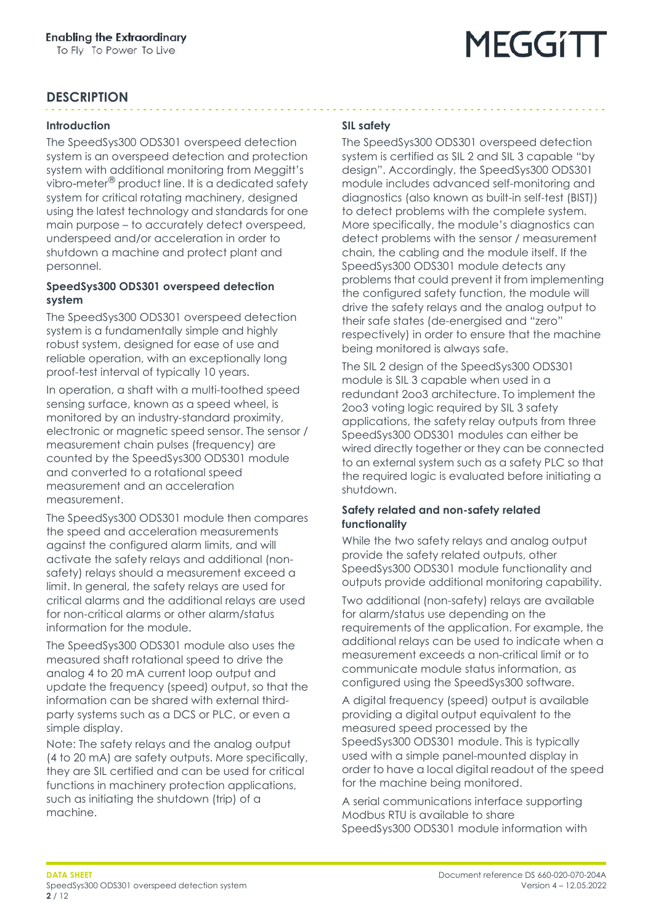#### **DESCRIPTION**

#### **Introduction**

The SpeedSys300 ODS301 overspeed detection system is an overspeed detection and protection system with additional monitoring from Meggitt's vibro-meter® product line. It is a dedicated safety system for critical rotating machinery, designed using the latest technology and standards for one main purpose – to accurately detect overspeed, underspeed and/or acceleration in order to shutdown a machine and protect plant and personnel.

#### **SpeedSys300 ODS301 overspeed detection system**

The SpeedSys300 ODS301 overspeed detection system is a fundamentally simple and highly robust system, designed for ease of use and reliable operation, with an exceptionally long proof-test interval of typically 10 years.

In operation, a shaft with a multi-toothed speed sensing surface, known as a speed wheel, is monitored by an industry-standard proximity, electronic or magnetic speed sensor. The sensor / measurement chain pulses (frequency) are counted by the SpeedSys300 ODS301 module and converted to a rotational speed measurement and an acceleration measurement.

The SpeedSys300 ODS301 module then compares the speed and acceleration measurements against the configured alarm limits, and will activate the safety relays and additional (nonsafety) relays should a measurement exceed a limit. In general, the safety relays are used for critical alarms and the additional relays are used for non-critical alarms or other alarm/status information for the module.

The SpeedSys300 ODS301 module also uses the measured shaft rotational speed to drive the analog 4 to 20 mA current loop output and update the frequency (speed) output, so that the information can be shared with external thirdparty systems such as a DCS or PLC, or even a simple display.

Note: The safety relays and the analog output (4 to 20 mA) are safety outputs. More specifically, they are SIL certified and can be used for critical functions in machinery protection applications, such as initiating the shutdown (trip) of a machine.

#### **SIL safety**

The SpeedSys300 ODS301 overspeed detection system is certified as SIL 2 and SIL 3 capable "by design". Accordingly, the SpeedSys300 ODS301 module includes advanced self-monitoring and diagnostics (also known as built-in self-test (BIST)) to detect problems with the complete system. More specifically, the module's diagnostics can detect problems with the sensor / measurement chain, the cabling and the module itself. If the SpeedSys300 ODS301 module detects any problems that could prevent it from implementing the configured safety function, the module will drive the safety relays and the analog output to their safe states (de-energised and "zero" respectively) in order to ensure that the machine being monitored is always safe.

The SIL 2 design of the SpeedSys300 ODS301 module is SIL 3 capable when used in a redundant 2oo3 architecture. To implement the 2oo3 voting logic required by SIL 3 safety applications, the safety relay outputs from three SpeedSys300 ODS301 modules can either be wired directly together or they can be connected to an external system such as a safety PLC so that the required logic is evaluated before initiating a shutdown.

#### **Safety related and non-safety related functionality**

While the two safety relays and analog output provide the safety related outputs, other SpeedSys300 ODS301 module functionality and outputs provide additional monitoring capability.

Two additional (non-safety) relays are available for alarm/status use depending on the requirements of the application. For example, the additional relays can be used to indicate when a measurement exceeds a non-critical limit or to communicate module status information, as configured using the SpeedSys300 software.

A digital frequency (speed) output is available providing a digital output equivalent to the measured speed processed by the SpeedSys300 ODS301 module. This is typically used with a simple panel-mounted display in order to have a local digital readout of the speed for the machine being monitored.

A serial communications interface supporting Modbus RTU is available to share SpeedSys300 ODS301 module information with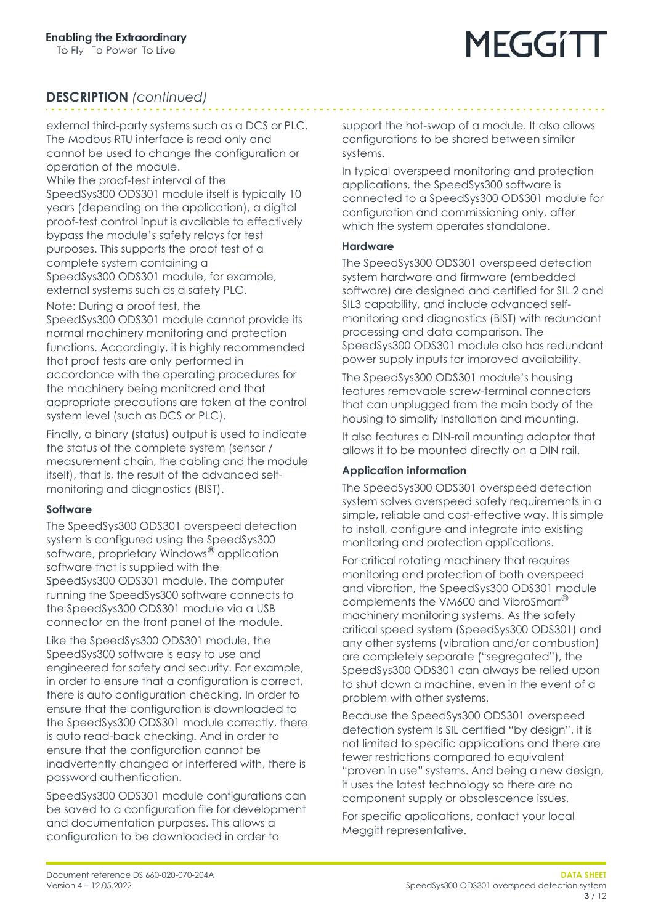### **DESCRIPTION** *(continued)*

external third-party systems such as a DCS or PLC. The Modbus RTU interface is read only and cannot be used to change the configuration or operation of the module.

While the proof-test interval of the

SpeedSys300 ODS301 module itself is typically 10 years (depending on the application), a digital proof-test control input is available to effectively bypass the module's safety relays for test purposes. This supports the proof test of a complete system containing a SpeedSys300 ODS301 module, for example, external systems such as a safety PLC.

Note: During a proof test, the

SpeedSys300 ODS301 module cannot provide its normal machinery monitoring and protection functions. Accordingly, it is highly recommended that proof tests are only performed in accordance with the operating procedures for the machinery being monitored and that appropriate precautions are taken at the control system level (such as DCS or PLC).

Finally, a binary (status) output is used to indicate the status of the complete system (sensor / measurement chain, the cabling and the module itself), that is, the result of the advanced selfmonitoring and diagnostics (BIST).

#### **Software**

The SpeedSys300 ODS301 overspeed detection system is configured using the SpeedSys300 software, proprietary Windows® application software that is supplied with the SpeedSys300 ODS301 module. The computer running the SpeedSys300 software connects to the SpeedSys300 ODS301 module via a USB connector on the front panel of the module.

Like the SpeedSys300 ODS301 module, the SpeedSys300 software is easy to use and engineered for safety and security. For example, in order to ensure that a configuration is correct, there is auto configuration checking. In order to ensure that the configuration is downloaded to the SpeedSys300 ODS301 module correctly, there is auto read-back checking. And in order to ensure that the configuration cannot be inadvertently changed or interfered with, there is password authentication.

SpeedSys300 ODS301 module configurations can be saved to a configuration file for development and documentation purposes. This allows a configuration to be downloaded in order to

support the hot-swap of a module. It also allows configurations to be shared between similar systems.

In typical overspeed monitoring and protection applications, the SpeedSys300 software is connected to a SpeedSys300 ODS301 module for configuration and commissioning only, after which the system operates standalone.

#### **Hardware**

The SpeedSys300 ODS301 overspeed detection system hardware and firmware (embedded software) are designed and certified for SIL 2 and SIL3 capability, and include advanced selfmonitoring and diagnostics (BIST) with redundant processing and data comparison. The SpeedSys300 ODS301 module also has redundant power supply inputs for improved availability.

The SpeedSys300 ODS301 module's housing features removable screw-terminal connectors that can unplugged from the main body of the housing to simplify installation and mounting.

It also features a DIN-rail mounting adaptor that allows it to be mounted directly on a DIN rail.

#### **Application information**

The SpeedSys300 ODS301 overspeed detection system solves overspeed safety requirements in a simple, reliable and cost-effective way. It is simple to install, configure and integrate into existing monitoring and protection applications.

For critical rotating machinery that requires monitoring and protection of both overspeed and vibration, the SpeedSys300 ODS301 module complements the VM600 and VibroSmart® machinery monitoring systems. As the safety critical speed system (SpeedSys300 ODS301) and any other systems (vibration and/or combustion) are completely separate ("segregated"), the SpeedSys300 ODS301 can always be relied upon to shut down a machine, even in the event of a problem with other systems.

Because the SpeedSys300 ODS301 overspeed detection system is SIL certified "by design", it is not limited to specific applications and there are fewer restrictions compared to equivalent "proven in use" systems. And being a new design, it uses the latest technology so there are no component supply or obsolescence issues.

For specific applications, contact your local Meggitt representative.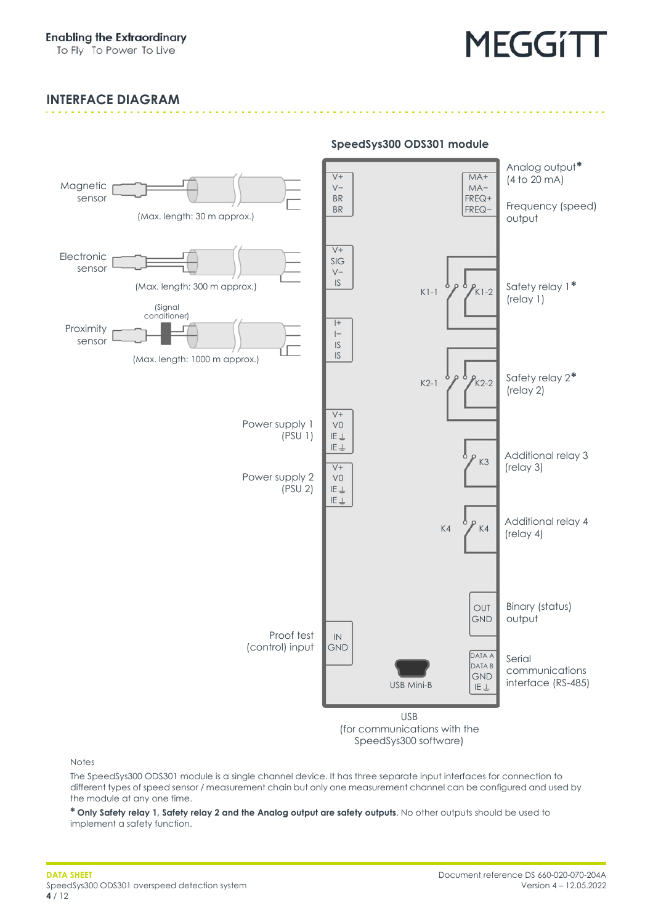#### **INTERFACE DIAGRAM**



(for communications with the SpeedSys300 software)

**SpeedSys300 ODS301 module**

Notes

The SpeedSys300 ODS301 module is a single channel device. It has three separate input interfaces for connection to different types of speed sensor / measurement chain but only one measurement channel can be configured and used by the module at any one time.

**\* Only Safety relay 1, Safety relay 2 and the Analog output are safety outputs**. No other outputs should be used to implement a safety function.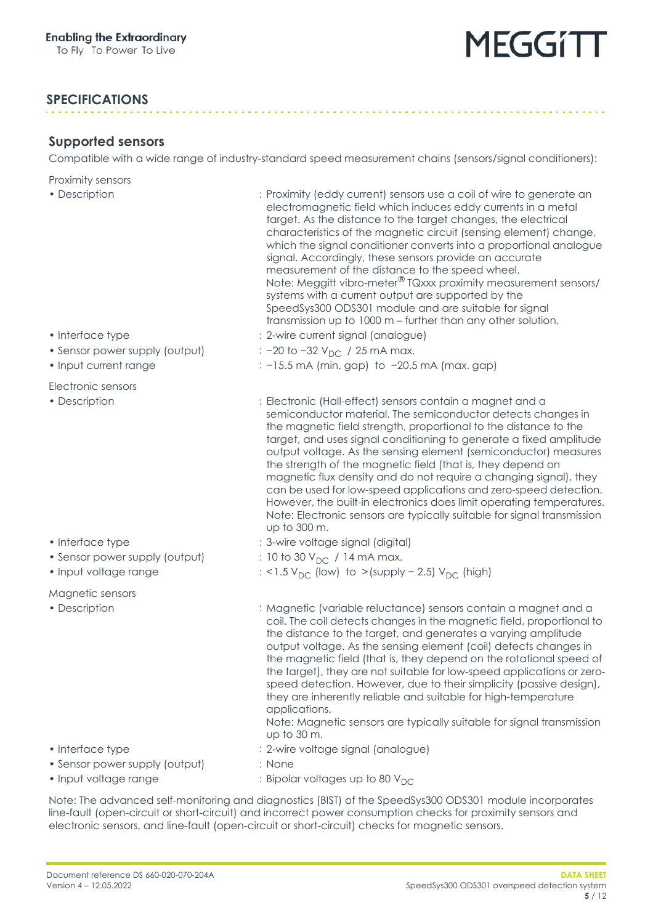#### **SPECIFICATIONS**

#### <span id="page-4-0"></span>**Supported sensors**

Compatible with a wide range of industry-standard speed measurement chains (sensors/signal conditioners):

Proximity sensors

• Description : Proximity (eddy current) sensors use a coil of wire to generate an electromagnetic field which induces eddy currents in a metal target. As the distance to the target changes, the electrical characteristics of the magnetic circuit (sensing element) change, which the signal conditioner converts into a proportional analogue signal. Accordingly, these sensors provide an accurate measurement of the distance to the speed wheel. Note: Meggitt vibro-meter® TQxxx proximity measurement sensors/ systems with a current output are supported by the SpeedSys300 ODS301 module and are suitable for signal transmission up to 1000 m – further than any other solution. • Interface type  $\cdot$  2-wire current signal (analogue) • Sensor power supply (output)  $\cdot$  : −20 to −32 V<sub>DC</sub> / 25 mA max. • Input current range : −15.5 mA (min. gap) to −20.5 mA (max. gap) Electronic sensors • Description : Electronic (Hall-effect) sensors contain a magnet and a semiconductor material. The semiconductor detects changes in the magnetic field strength, proportional to the distance to the target, and uses signal conditioning to generate a fixed amplitude output voltage. As the sensing element (semiconductor) measures the strength of the magnetic field (that is, they depend on magnetic flux density and do not require a changing signal), they can be used for low-speed applications and zero-speed detection. However, the built-in electronics does limit operating temperatures. Note: Electronic sensors are typically suitable for signal transmission up to 300 m. • Interface type  $\cdot$  3-wire voltage signal (digital) • Sensor power supply (output)  $\qquad \qquad : 10 \text{ to } 30 \text{ V}_{\text{DC}}$  / 14 mA max. • Input voltage range  $\cdot$  : <1.5 V<sub>DC</sub> (low) to >(supply - 2.5) V<sub>DC</sub> (high) Magnetic sensors • Description : Magnetic (variable reluctance) sensors contain a magnet and a coil. The coil detects changes in the magnetic field, proportional to the distance to the target, and generates a varying amplitude output voltage. As the sensing element (coil) detects changes in the magnetic field (that is, they depend on the rotational speed of the target), they are not suitable for low-speed applications or zerospeed detection. However, due to their simplicity (passive design), they are inherently reliable and suitable for high-temperature applications. Note: Magnetic sensors are typically suitable for signal transmission up to 30 m. • Interface type  $\cdot$  2-wire voltage signal (analogue) • Sensor power supply (output) : None • Input voltage range  $\overline{O}$  : Bipolar voltages up to 80  $V_{DC}$ 

Note: The advanced self-monitoring and diagnostics (BIST) of the SpeedSys300 ODS301 module incorporates line-fault (open-circuit or short-circuit) and incorrect power consumption checks for proximity sensors and electronic sensors, and line-fault (open-circuit or short-circuit) checks for magnetic sensors.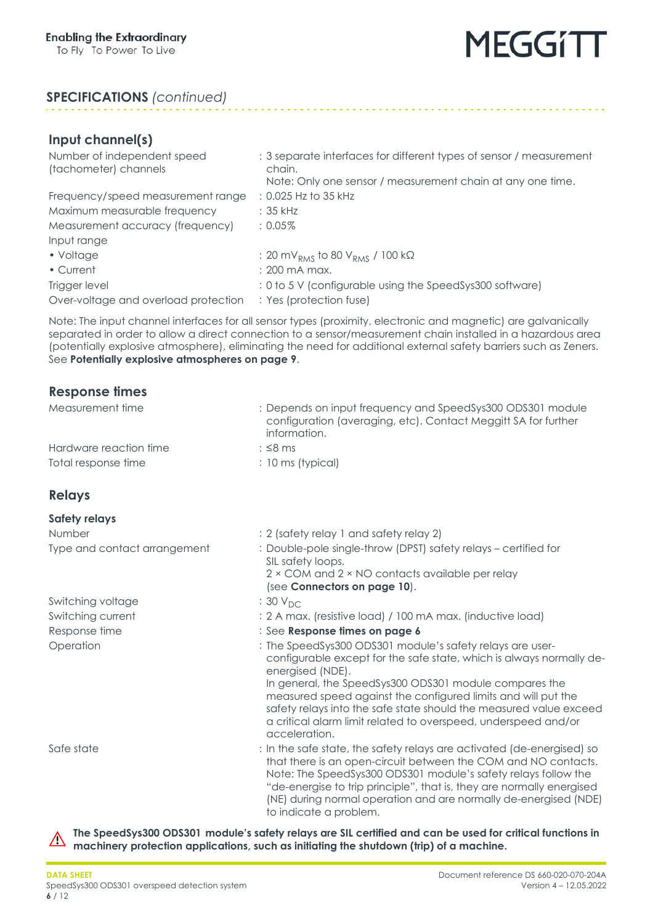#### **SPECIFICATIONS** *(continued)*

| Input channel(s)                                     |                                                                                                                                             |
|------------------------------------------------------|---------------------------------------------------------------------------------------------------------------------------------------------|
| Number of independent speed<br>(tachometer) channels | : 3 separate interfaces for different types of sensor / measurement<br>chain.<br>Note: Only one sensor / measurement chain at any one time. |
| Frequency/speed measurement range                    | : 0.025 Hz to 35 kHz                                                                                                                        |
| Maximum measurable frequency                         | $: 35$ kHz                                                                                                                                  |
| Measurement accuracy (frequency)                     | $: 0.05\%$                                                                                                                                  |
| Input range                                          |                                                                                                                                             |
| • Voltage                                            | : 20 mV <sub>RMS</sub> to 80 V <sub>RMS</sub> / 100 kΩ                                                                                      |
| • Current                                            | $: 200 \text{ mA max}$ .                                                                                                                    |
| Trigger level                                        | : 0 to 5 V (configurable using the SpeedSys300 software)                                                                                    |
| Over-voltage and overload protection                 | : Yes (protection fuse)                                                                                                                     |

Note: The input channel interfaces for all sensor types (proximity, electronic and magnetic) are galvanically separated in order to allow a direct connection to a sensor/measurement chain installed in a hazardous area (potentially explosive atmosphere), eliminating the need for additional external safety barriers such as Zeners. See **[Potentially explosive atmospheres on page](#page-8-0) 9**.

#### <span id="page-5-0"></span>**Response times**

| Measurement time             | : Depends on input frequency and SpeedSys300 ODS301 module<br>configuration (averaging, etc). Contact Meggitt SA for further<br>information.                                                                                                                                                                                                                                                                                              |
|------------------------------|-------------------------------------------------------------------------------------------------------------------------------------------------------------------------------------------------------------------------------------------------------------------------------------------------------------------------------------------------------------------------------------------------------------------------------------------|
| Hardware reaction time       | $:$ $\leq$ 8 ms                                                                                                                                                                                                                                                                                                                                                                                                                           |
| Total response time          | : 10 ms (typical)                                                                                                                                                                                                                                                                                                                                                                                                                         |
| <b>Relays</b>                |                                                                                                                                                                                                                                                                                                                                                                                                                                           |
| <b>Safety relays</b>         |                                                                                                                                                                                                                                                                                                                                                                                                                                           |
| Number                       | : 2 (safety relay 1 and safety relay 2)                                                                                                                                                                                                                                                                                                                                                                                                   |
| Type and contact arrangement | : Double-pole single-throw (DPST) safety relays - certified for<br>SIL safety loops.<br>2 × COM and 2 × NO contacts available per relay                                                                                                                                                                                                                                                                                                   |
|                              | (see Connectors on page 10).                                                                                                                                                                                                                                                                                                                                                                                                              |
| Switching voltage            | : 30 V <sub>DC</sub>                                                                                                                                                                                                                                                                                                                                                                                                                      |
| Switching current            | : 2 A max. (resistive load) / 100 mA max. (inductive load)                                                                                                                                                                                                                                                                                                                                                                                |
| Response time                | : See Response times on page 6                                                                                                                                                                                                                                                                                                                                                                                                            |
| Operation                    | : The SpeedSys300 ODS301 module's safety relays are user-<br>configurable except for the safe state, which is always normally de-<br>energised (NDE).<br>In general, the SpeedSys300 ODS301 module compares the<br>measured speed against the configured limits and will put the<br>safety relays into the safe state should the measured value exceed<br>a critical alarm limit related to overspeed, underspeed and/or<br>acceleration. |
| Safe state                   | : In the safe state, the safety relays are activated (de-energised) so<br>that there is an open-circuit between the COM and NO contacts.<br>Note: The SpeedSys300 ODS301 module's safety relays follow the<br>"de-energise to trip principle", that is, they are normally energised<br>(NE) during normal operation and are normally de-energised (NDE)<br>to indicate a problem.                                                         |

**The SpeedSys300 ODS301 module's safety relays are SIL certified and can be used for critical functions in**   $\triangle$ **machinery protection applications, such as initiating the shutdown (trip) of a machine.**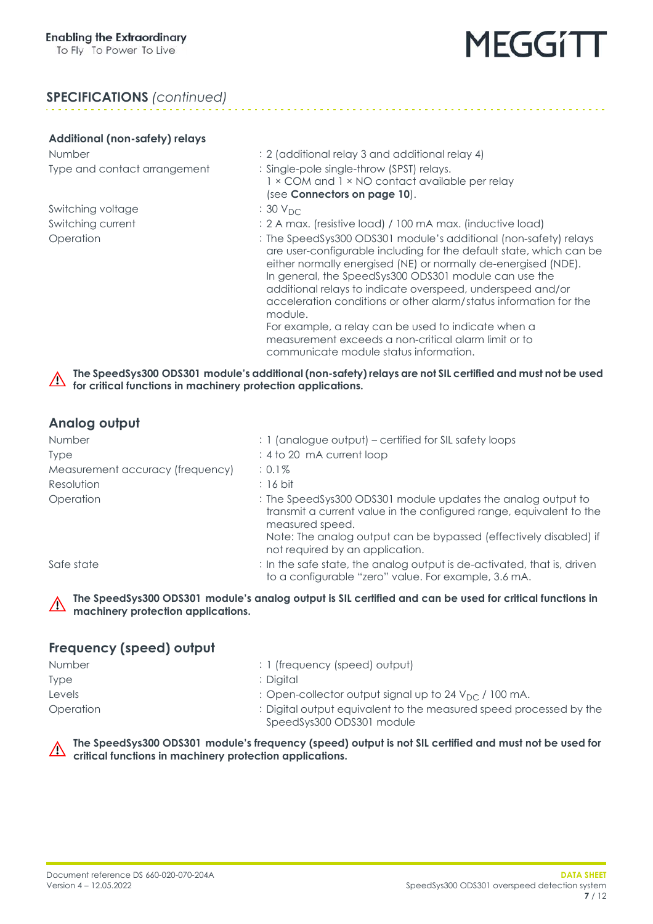# MEGGITI

### **SPECIFICATIONS** *(continued)*

#### **Additional (non-safety) relays**

Switching voltage  $: 30 V_{DC}$ <br>Switching current  $: 2 A mag$ 

- Number : 2 (additional relay 3 and additional relay 4) Type and contact arrangement : Single-pole single-throw (SPST) relays.
	- 1 × COM and 1 × NO contact available per relay (see **[Connectors on page](#page-9-0) 10**).
	-
	- : 2 A max. (resistive load) / 100 mA max. (inductive load)
- Operation : The SpeedSys300 ODS301 module's additional (non-safety) relays are user-configurable including for the default state, which can be either normally energised (NE) or normally de-energised (NDE). In general, the SpeedSys300 ODS301 module can use the additional relays to indicate overspeed, underspeed and/or acceleration conditions or other alarm/status information for the module. For example, a relay can be used to indicate when a measurement exceeds a non-critical alarm limit or to

communicate module status information.

**The SpeedSys300 ODS301 module's additional (non-safety) relays are not SIL certified and must not be used**   $\triangle$ **for critical functions in machinery protection applications.**

#### **Analog output**

| Number                           | : 1 (analogue output) – certified for SIL safety loops                                                                                                                                                                      |
|----------------------------------|-----------------------------------------------------------------------------------------------------------------------------------------------------------------------------------------------------------------------------|
| <b>Type</b>                      | : 4 to 20 mA current loop                                                                                                                                                                                                   |
| Measurement accuracy (frequency) | $: 0.1\%$                                                                                                                                                                                                                   |
| Resolution                       | $: 16$ bit                                                                                                                                                                                                                  |
| Operation                        | : The SpeedSys300 ODS301 module updates the analog output to<br>transmit a current value in the configured range, equivalent to the<br>measured speed.<br>Note: The analog output can be bypassed (effectively disabled) if |
|                                  | not required by an application.                                                                                                                                                                                             |
| Safe state                       | : In the safe state, the analog output is de-activated, that is, driven<br>to a configurable "zero" value. For example, 3.6 mA.                                                                                             |

#### **The SpeedSys300 ODS301 module's analog output is SIL certified and can be used for critical functions in machinery protection applications.**

#### **Frequency (speed) output**

| Number    | : 1 (frequency (speed) output)                                                                  |
|-----------|-------------------------------------------------------------------------------------------------|
| Type      | : Diaital                                                                                       |
| Levels    | : Open-collector output signal up to 24 $V_{DC}$ / 100 mA.                                      |
| Operation | : Digital output equivalent to the measured speed processed by the<br>SpeedSys300 ODS301 module |

#### **The SpeedSys300 ODS301 module's frequency (speed) output is not SIL certified and must not be used for critical functions in machinery protection applications.**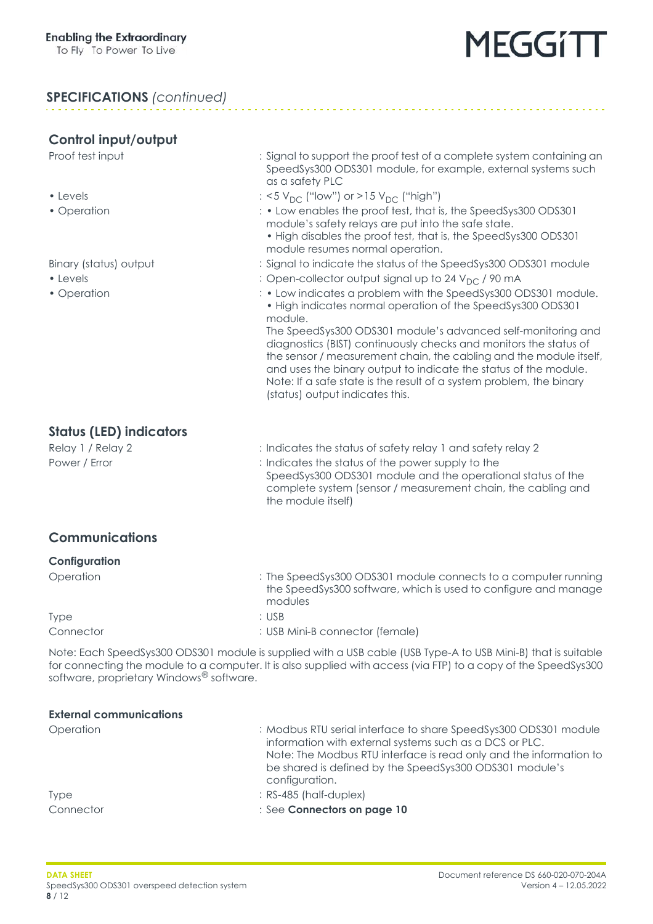#### **SPECIFICATIONS** *(continued)*

#### **Control input/output**

- 
- 

- 
- 
- Proof test input included to support the proof test of a complete system containing an SpeedSys300 ODS301 module, for example, external systems such as a safety PLC
- Levels  $\cdot$  Levels  $\cdot$   $\cdot$   $\frac{15 \text{ V}_{\text{DC}}}{\text{m}}$  ("low") or >15 V<sub>DC</sub> ("high")
- Operation  $\cdot$  bow enables the proof test, that is, the SpeedSys300 ODS301 module's safety relays are put into the safe state.
	- High disables the proof test, that is, the SpeedSys300 ODS301 module resumes normal operation.
- Binary (status) output : Signal to indicate the status of the SpeedSys300 ODS301 module
- Levels **business** : Open-collector output signal up to 24 V<sub>DC</sub> / 90 mA
- Operation **indicates a problem with the SpeedSys300 ODS301 module.** • High indicates normal operation of the SpeedSys300 ODS301 module.

The SpeedSys300 ODS301 module's advanced self-monitoring and diagnostics (BIST) continuously checks and monitors the status of the sensor / measurement chain, the cabling and the module itself, and uses the binary output to indicate the status of the module. Note: If a safe state is the result of a system problem, the binary (status) output indicates this.

#### **Status (LED) indicators**

Relay 1 / Relay 2 : Indicates the status of safety relay 1 and safety relay 2 Power / Error  $\cdot$  : Indicates the status of the power supply to the SpeedSys300 ODS301 module and the operational status of the complete system (sensor / measurement chain, the cabling and the module itself)

### **Communications**

#### **Configuration**

| Operation | : The SpeedSys300 ODS301 module connects to a computer running<br>the SpeedSys300 software, which is used to configure and manage<br>modules |
|-----------|----------------------------------------------------------------------------------------------------------------------------------------------|
| Type      | : USB                                                                                                                                        |
| Connector | : USB Mini-B connector (female)                                                                                                              |

Note: Each SpeedSys300 ODS301 module is supplied with a USB cable (USB Type-A to USB Mini-B) that is suitable for connecting the module to a computer. It is also supplied with access (via FTP) to a copy of the SpeedSys300 software, proprietary Windows<sup>®</sup> software.

| : Modbus RTU serial interface to share SpeedSys300 ODS301 module<br>information with external systems such as a DCS or PLC.<br>Note: The Modbus RTU interface is read only and the information to<br>be shared is defined by the SpeedSys300 ODS301 module's<br>configuration. |
|--------------------------------------------------------------------------------------------------------------------------------------------------------------------------------------------------------------------------------------------------------------------------------|
| $:$ RS-485 (half-duplex)                                                                                                                                                                                                                                                       |
| : See Connectors on page 10                                                                                                                                                                                                                                                    |
|                                                                                                                                                                                                                                                                                |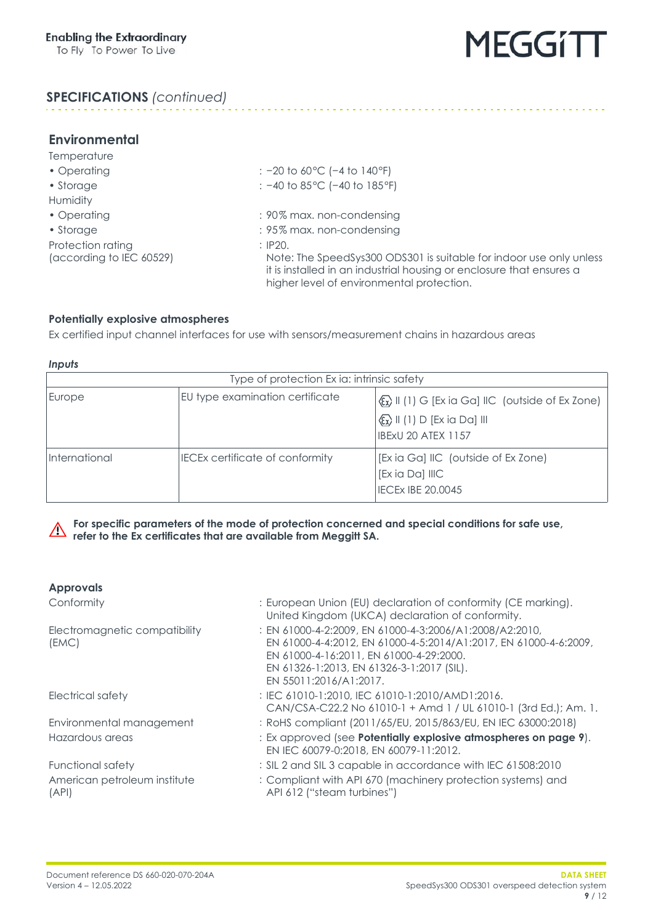

### **SPECIFICATIONS** *(continued)*

| <b>Environmental</b>     |                                                                                                                                                                                          |
|--------------------------|------------------------------------------------------------------------------------------------------------------------------------------------------------------------------------------|
| Temperature              |                                                                                                                                                                                          |
| • Operating              | : $-20$ to 60 °C ( $-4$ to 140 °F)                                                                                                                                                       |
| • Storage                | : $-40$ to 85 °C ( $-40$ to 185 °F)                                                                                                                                                      |
| Humidity                 |                                                                                                                                                                                          |
| • Operating              | : 90% max. non-condensing                                                                                                                                                                |
| • Storage                | : 95% max. non-condensing                                                                                                                                                                |
| Protection rating        | $\therefore$ IP20.                                                                                                                                                                       |
| (according to IEC 60529) | Note: The SpeedSys300 ODS301 is suitable for indoor use only unless<br>it is installed in an industrial housing or enclosure that ensures a<br>higher level of environmental protection. |
|                          |                                                                                                                                                                                          |

#### <span id="page-8-0"></span>**Potentially explosive atmospheres**

Ex certified input channel interfaces for use with sensors/measurement chains in hazardous areas

*Inputs*

| Type of protection Ex ia: intrinsic safety |                                        |                                                                                                                                                                            |
|--------------------------------------------|----------------------------------------|----------------------------------------------------------------------------------------------------------------------------------------------------------------------------|
| Europe                                     | EU type examination certificate        | $\langle \xi_{\mathbf{x}} \rangle$ II (1) G [Ex ia Ga] IIC (outside of Ex Zone)<br>$\langle \xi_{\mathbf{x}} \rangle$ II (1) D [Ex ia Da] III<br><b>IBExU 20 ATEX 1157</b> |
| International                              | <b>IECEx certificate of conformity</b> | [Exia Ga] IIC (outside of Ex Zone)<br>Ex ia Da] IIIC<br><b>IECEX IBE 20.0045</b>                                                                                           |

**For specific parameters of the mode of protection concerned and special conditions for safe use,**  $\triangle$ **refer to the Ex certificates that are available from Meggitt SA.**

#### **Approvals**

| Conformity                             | : European Union (EU) declaration of conformity (CE marking).<br>United Kingdom (UKCA) declaration of conformity.                                                                                                                             |
|----------------------------------------|-----------------------------------------------------------------------------------------------------------------------------------------------------------------------------------------------------------------------------------------------|
| Electromagnetic compatibility<br>(EMC) | : EN 61000-4-2:2009, EN 61000-4-3:2006/A1:2008/A2:2010,<br>EN 61000-4-4:2012, EN 61000-4-5:2014/A1:2017, EN 61000-4-6:2009,<br>EN 61000-4-16:2011, EN 61000-4-29:2000.<br>EN 61326-1:2013, EN 61326-3-1:2017 (SIL).<br>EN 55011:2016/A1:2017. |
| Electrical safety                      | : IEC 61010-1:2010, IEC 61010-1:2010/AMD1:2016.<br>CAN/CSA-C22.2 No 61010-1 + Amd 1 / UL 61010-1 (3rd Ed.); Am. 1.                                                                                                                            |
| Environmental management               | : RoHS compliant (2011/65/EU, 2015/863/EU, EN IEC 63000:2018)                                                                                                                                                                                 |
| Hazardous areas                        | : Ex approved (see <b>Potentially explosive atmospheres on page 9)</b> .<br>EN IEC 60079-0:2018, EN 60079-11:2012.                                                                                                                            |
| Functional safety                      | : SIL 2 and SIL 3 capable in accordance with IEC 61508:2010                                                                                                                                                                                   |
| American petroleum institute<br>(API)  | : Compliant with API 670 (machinery protection systems) and<br>API 612 ("steam turbines")                                                                                                                                                     |
|                                        |                                                                                                                                                                                                                                               |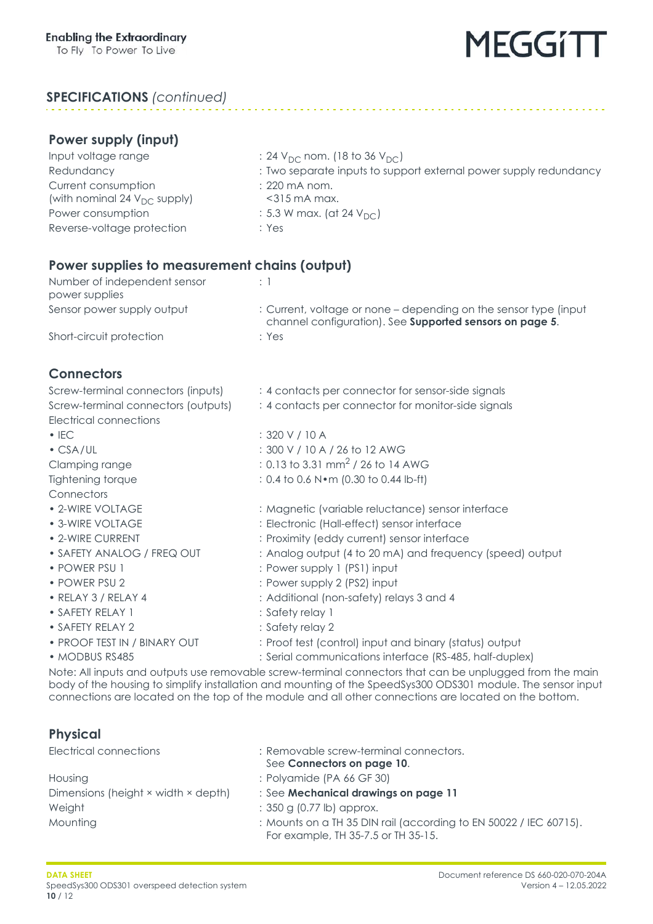### **SPECIFICATIONS** *(continued)*

- $\therefore$  24 V<sub>DC</sub> nom. (18 to 36 V<sub>DC</sub>)
- : Two separate inputs to support external power supply redundancy
- : 220 mA nom.
- <315 mA max.
- $: 5.3$  W max. (at 24 V<sub>DC</sub>)
- : Yes

### **Power supplies to measurement chains (output)**

| Number of independent sensor<br>power supplies |                                                                                                                               |
|------------------------------------------------|-------------------------------------------------------------------------------------------------------------------------------|
| Sensor power supply output                     | : Current, voltage or none – depending on the sensor type (input)<br>channel configuration). See Supported sensors on page 5. |
| Short-circuit protection                       | : Yes                                                                                                                         |

### <span id="page-9-0"></span>**Connectors**

| Screw-terminal connectors (inputs)  | : 4 contacts per connector for sensor-side signals                                                    |  |  |
|-------------------------------------|-------------------------------------------------------------------------------------------------------|--|--|
| Screw-terminal connectors (outputs) | : 4 contacts per connector for monitor-side signals                                                   |  |  |
| Electrical connections              |                                                                                                       |  |  |
| $\cdot$ IEC                         | : 320 V / 10 A                                                                                        |  |  |
| $\cdot$ CSA/UL                      | : 300 V / 10 A / 26 to 12 AWG                                                                         |  |  |
| Clamping range                      | : 0.13 to 3.31 mm <sup>2</sup> / 26 to 14 AWG                                                         |  |  |
| Tightening torque                   | : 0.4 to 0.6 N · m (0.30 to 0.44 lb-ft)                                                               |  |  |
| Connectors                          |                                                                                                       |  |  |
| • 2-WIRE VOLTAGE                    | : Magnetic (variable reluctance) sensor interface                                                     |  |  |
| • 3-WIRE VOLTAGE                    | : Electronic (Hall-effect) sensor interface                                                           |  |  |
| • 2-WIRE CURRENT                    | : Proximity (eddy current) sensor interface                                                           |  |  |
| • SAFETY ANALOG / FREQ OUT          | : Analog output (4 to 20 mA) and frequency (speed) output                                             |  |  |
| • POWER PSU 1                       | : Power supply 1 (PS1) input                                                                          |  |  |
| • POWER PSU 2                       | : Power supply 2 (PS2) input                                                                          |  |  |
| · RELAY 3 / RELAY 4                 | : Additional (non-safety) relays 3 and 4                                                              |  |  |
| • SAFETY RELAY 1                    | : Safety relay 1                                                                                      |  |  |
| • SAFETY RELAY 2                    | : Safety relay 2                                                                                      |  |  |
| • PROOF TEST IN / BINARY OUT        | : Proof test (control) input and binary (status) output                                               |  |  |
| • MODBUS RS485                      | : Serial communications interface (RS-485, half-duplex)                                               |  |  |
|                                     | Note: All inputs and outputs use removable screw-terminal connectors that can be unplugged from the m |  |  |

Note: All inputs and outputs use removable screw-terminal connectors that can be unplugged from the main body of the housing to simplify installation and mounting of the SpeedSys300 ODS301 module. The sensor input connections are located on the top of the module and all other connections are located on the bottom.

### **Physical**

| Electrical connections              | : Removable screw-terminal connectors.<br>See Connectors on page 10.                                     |
|-------------------------------------|----------------------------------------------------------------------------------------------------------|
| Housing                             | : Polyamide (PA 66 GF 30)                                                                                |
| Dimensions (height × width × depth) | : See Mechanical drawings on page 11                                                                     |
| Weight                              | $: 350$ g (0.77 lb) approx.                                                                              |
| Mounting                            | : Mounts on a TH 35 DIN rail (according to EN 50022 / IEC 60715).<br>For example, TH 35-7.5 or TH 35-15. |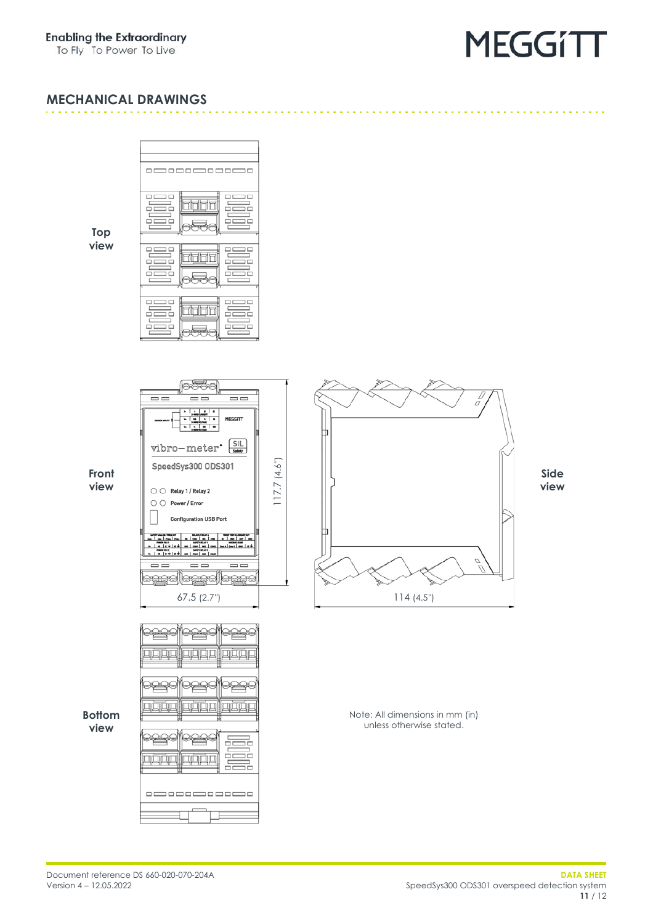To Fly To Power To Live

## **MEGGITT**

#### <span id="page-10-0"></span>**MECHANICAL DRAWINGS**

**Top view**



6336

 $\overline{\phantom{0}}$ 

vibro-meter SIL

**Configuration USB Port** 

SpeedSys300 ODS301

○ O Relay 1 / Relay 2  $\bigcirc$   $\bigcirc$  Power/Error

<u>eeelleees</u>

 $\overline{\phantom{m}}$ 

咽回

<u>0000</u>

IÀÁL

咽口

MEGGITT

 $|m|$ 

 $frac{1}{2}$  $\overline{\blacksquare}$ 

亚西西

四卤卤

듩 ᅲ

듩

67.5 (2.7″)

四月四

<u>root</u>

四回回

四四回

 $\Box$ \_\_\_\_\_\_\_\_\_\_\_

 $\overline{\phantom{m}}$ <u>peedleeselleese</u> 117.7 (4.6″)

 $117.7(4.6")$ 

**Front view**



Note: All dimensions in mm (in) unless otherwise stated.

**Bottom view**